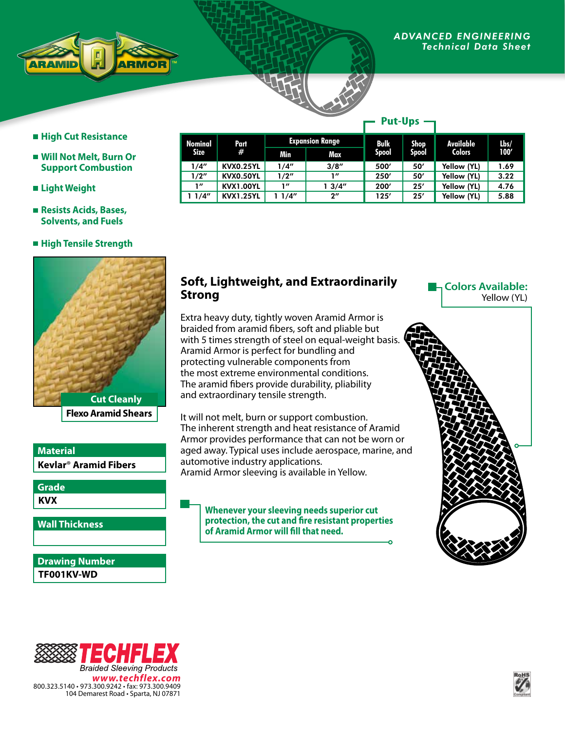### *ADVANCED ENGINEERING Technical Data Sheet*



# **High Cut Resistance**

- **Will Not Melt, Burn Or Support Combustion**
- **Light Weight**
- **Resists Acids, Bases, Solvents, and Fuels**

## **High Tensile Strength**



# **Kevlar**® **Aramid Fibers Material**

**KVX Grade**

**Wall Thickness**

**TF001KV-WD Drawing Number**

#### **Nominal Size Part # Expansion Range Bulk Spool Shop Spool Available Colors Lbs/ Min Max 100'** 1/4" KVX0.25YL 1/4" 3/8" 500' 50' Yellow (YL) 1.69 1/2" | KVX0.50YL | 1/2" | 1" | 250' | 50' | Yellow (YL) | 3.22 1" KVX1.00YL 1" 1 3/4" 200' 25' Yellow (YL) 4.76<br>1/4" KVX1.25YL 1 1/4" 2" 125' 25' Yellow (YL) 5.88 1 1/4" KVX1.25YL 1 1/4" 2" 125' 25' Yellow (YL) 5.88 **Put-Ups**

# **Soft, Lightweight, and Extraordinarily Strong**

Extra heavy duty, tightly woven Aramid Armor is braided from aramid fibers, soft and pliable but with 5 times strength of steel on equal-weight basis. Aramid Armor is perfect for bundling and protecting vulnerable components from the most extreme environmental conditions. The aramid fibers provide durability, pliability and extraordinary tensile strength.

It will not melt, burn or support combustion. The inherent strength and heat resistance of Aramid Armor provides performance that can not be worn or aged away. Typical uses include aerospace, marine, and automotive industry applications. Aramid Armor sleeving is available in Yellow.

**Whenever your sleeving needs superior cut protection, the cut and fire resistant properties of Aramid Armor will fill that need.**

**Colors Available:** Yellow (YL)